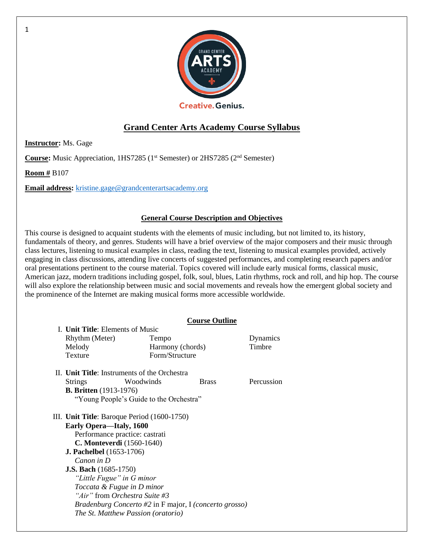

# **Grand Center Arts Academy Course Syllabus**

**Instructor:** Ms. Gage

**Course:** Music Appreciation, 1HS7285 (1<sup>st</sup> Semester) or 2HS7285 (2<sup>nd</sup> Semester)

**Room #** B107

**Email address:** [kristine.gage@grandcenterartsacademy.org](mailto:kristine.gage@grandcenterartsacademy.org)

## **General Course Description and Objectives**

This course is designed to acquaint students with the elements of music including, but not limited to, its history, fundamentals of theory, and genres. Students will have a brief overview of the major composers and their music through class lectures, listening to musical examples in class, reading the text, listening to musical examples provided, actively engaging in class discussions, attending live concerts of suggested performances, and completing research papers and/or oral presentations pertinent to the course material. Topics covered will include early musical forms, classical music, American jazz, modern traditions including gospel, folk, soul, blues, Latin rhythms, rock and roll, and hip hop. The course will also explore the relationship between music and social movements and reveals how the emergent global society and the prominence of the Internet are making musical forms more accessible worldwide.

## **Course Outline**

|  | I. Unit Title: Elements of Music                                       |                                         |              |            |  |
|--|------------------------------------------------------------------------|-----------------------------------------|--------------|------------|--|
|  | Rhythm (Meter)                                                         | Tempo                                   |              | Dynamics   |  |
|  | Melody                                                                 | Harmony (chords)<br>Form/Structure      |              | Timbre     |  |
|  | Texture                                                                |                                         |              |            |  |
|  | II. Unit Title: Instruments of the Orchestra                           |                                         |              |            |  |
|  | <b>Strings</b>                                                         | Woodwinds                               | <b>Brass</b> | Percussion |  |
|  | <b>B. Britten</b> (1913-1976)                                          |                                         |              |            |  |
|  |                                                                        | "Young People's Guide to the Orchestra" |              |            |  |
|  | III. Unit Title: Baroque Period (1600-1750)                            |                                         |              |            |  |
|  | <b>Early Opera—Italy, 1600</b>                                         |                                         |              |            |  |
|  | Performance practice: castrati                                         |                                         |              |            |  |
|  | <b>C. Monteverdi</b> (1560-1640)                                       |                                         |              |            |  |
|  | <b>J. Pachelbel</b> (1653-1706)                                        |                                         |              |            |  |
|  | Canon in D                                                             |                                         |              |            |  |
|  | <b>J.S. Bach</b> (1685-1750)                                           |                                         |              |            |  |
|  | "Little Fugue" in G minor                                              |                                         |              |            |  |
|  | Toccata & Fugue in D minor                                             |                                         |              |            |  |
|  | "Air" from Orchestra Suite #3                                          |                                         |              |            |  |
|  | <i>Bradenburg Concerto #2</i> in F major, I ( <i>concerto grosso</i> ) |                                         |              |            |  |
|  |                                                                        | The St. Matthew Passion (oratorio)      |              |            |  |

1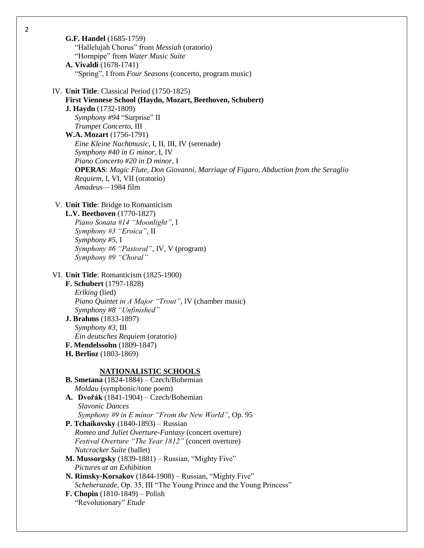| <b>G.F. Handel</b> (1685-1759)<br>"Hallelujah Chorus" from Messiah (oratorio)<br>"Hornpipe" from Water Music Suite<br>A. Vivaldi (1678-1741)<br>"Spring", I from Four Seasons (concerto, program music)                                                                                                                                                                                                                                                                                                                                                                                                                                                                                                          |  |
|------------------------------------------------------------------------------------------------------------------------------------------------------------------------------------------------------------------------------------------------------------------------------------------------------------------------------------------------------------------------------------------------------------------------------------------------------------------------------------------------------------------------------------------------------------------------------------------------------------------------------------------------------------------------------------------------------------------|--|
| IV. Unit Title: Classical Period (1750-1825)<br>First Viennese School (Haydn, Mozart, Beethoven, Schubert)<br>J. Haydn (1732-1809)<br>Symphony #94 "Surprise" II<br>Trumpet Concerto, III<br>W.A. Mozart (1756-1791)<br>Eine Kleine Nachtmusic, I, II, III, IV (serenade)<br>Symphony #40 in G minor, I, IV<br>Piano Concerto #20 in D minor, I<br><b>OPERAS</b> : Magic Flute, Don Giovanni, Marriage of Figaro, Abduction from the Seraglio<br>Requiem, I, VI, VII (oratorio)<br>Amadeus-1984 film                                                                                                                                                                                                             |  |
| V. Unit Title: Bridge to Romanticism<br>L.V. Beethoven (1770-1827)<br>Piano Sonata #14 "Moonlight", I<br>Symphony #3 "Eroica", II<br>Symphony #5, I<br>Symphony #6 "Pastoral", IV, V (program)<br>Symphony #9 "Choral"                                                                                                                                                                                                                                                                                                                                                                                                                                                                                           |  |
| VI. Unit Title: Romanticism (1825-1900)<br>F. Schubert (1797-1828)<br>Erlking (lied)<br>Piano Quintet in A Major "Trout", IV (chamber music)<br>Symphony #8 "Unfinished"<br>J. Brahms (1833-1897)<br>Symphony #3, III<br>Ein deutsches Requiem (oratorio)<br>F. Mendelssohn (1809-1847)<br>H. Berlioz (1803-1869)                                                                                                                                                                                                                                                                                                                                                                                                |  |
| <b>NATIONALISTIC SCHOOLS</b><br>B. Smetana (1824-1884) - Czech/Bohemian<br>Moldau (symphonic/tone poem)<br>A. Dvořák (1841-1904) – Czech/Bohemian<br><b>Slavonic Dances</b><br>Symphony #9 in E minor "From the New World", Op. 95<br>P. Tchaikovsky (1840-1893) – Russian<br>Romeo and Juliet Overture-Fantasy (concert overture)<br>Festival Overture "The Year 1812" (concert overture)<br>Nutcracker Suite (ballet)<br>M. Mussorgsky (1839-1881) - Russian, "Mighty Five"<br>Pictures at an Exhibition<br>N. Rimsky-Korsakov (1844-1908) – Russian, "Mighty Five"<br>Scheherazade, Op. 35, III "The Young Prince and the Young Princess"<br><b>F. Chopin</b> $(1810-1849) -$ Polish<br>"Revolutionary" Etude |  |

2